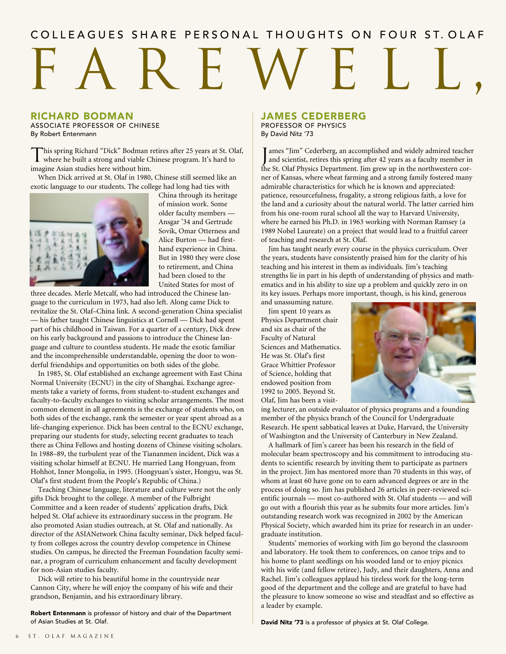# COLLEAGUES SHARE PERSONAL THOUGHTS ON FOUR ST. OLAF

## RICHARD BODMAN

ASSOCIATE PROFESSOR OF CHINESE By Robert Entenmann

This spring Richard "Dick" Bodman retires after 25 years at St. Olaf, where he built a strong and viable Chinese program. It's hard to imagine Asian studies here without him.

When Dick arrived at St. Olaf in 1980, Chinese still seemed like an exotic language to our students. The college had long had ties with



China through its heritage of mission work. Some older faculty members — Ansgar '34 and Gertrude Sovik, Omar Otterness and Alice Burton — had firsthand experience in China. But in 1980 they were close to retirement, and China had been closed to the United States for most of

three decades. Merle Metcalf, who had introduced the Chinese language to the curriculum in 1973, had also left. Along came Dick to revitalize the St. Olaf–China link. A second-generation China specialist — his father taught Chinese linguistics at Cornell — Dick had spent part of his childhood in Taiwan. For a quarter of a century, Dick drew on his early background and passions to introduce the Chinese language and culture to countless students. He made the exotic familiar and the incomprehensible understandable, opening the door to wonderful friendships and opportunities on both sides of the globe.

In 1985, St. Olaf established an exchange agreement with East China Normal University (ECNU) in the city of Shanghai. Exchange agreements take a variety of forms, from student-to-student exchanges and faculty-to-faculty exchanges to visiting scholar arrangements. The most common element in all agreements is the exchange of students who, on both sides of the exchange, rank the semester or year spent abroad as a life-changing experience. Dick has been central to the ECNU exchange, preparing our students for study, selecting recent graduates to teach there as China Fellows and hosting dozens of Chinese visiting scholars. In 1988–89, the turbulent year of the Tiananmen incident, Dick was a visiting scholar himself at ECNU. He married Lang Hongyuan, from Hohhot, Inner Mongolia, in 1995. (Hongyuan's sister, Hongyu, was St. Olaf's first student from the People's Republic of China.)

Teaching Chinese language, literature and culture were not the only gifts Dick brought to the college. A member of the Fulbright Committee and a keen reader of students' application drafts, Dick helped St. Olaf achieve its extraordinary success in the program. He also promoted Asian studies outreach, at St. Olaf and nationally. As director of the ASIANetwork China faculty seminar, Dick helped faculty from colleges across the country develop competence in Chinese studies. On campus, he directed the Freeman Foundation faculty seminar, a program of curriculum enhancement and faculty development for non-Asian studies faculty.

Dick will retire to his beautiful home in the countryside near Cannon City, where he will enjoy the company of his wife and their grandson, Benjamin, and his extraordinary library.

Robert Entenmann is professor of history and chair of the Department of Asian Studies at St. Olaf.

## JAMES CEDERBERG PROFESSOR OF PHYSICS By David Nitz '73

I ames "Jim" Cederberg, an accomplished and widely admired teacher<br>and scientist, retires this spring after 42 years as a faculty member in and scientist, retires this spring after 42 years as a faculty member in the St. Olaf Physics Department. Jim grew up in the northwestern corner of Kansas, where wheat farming and a strong family fostered many admirable characteristics for which he is known and appreciated: patience, resourcefulness, frugality, a strong religious faith, a love for the land and a curiosity about the natural world. The latter carried him from his one-room rural school all the way to Harvard University, where he earned his Ph.D. in 1963 working with Norman Ramsey (a 1989 Nobel Laureate) on a project that would lead to a fruitful career of teaching and research at St. Olaf.

Jim has taught nearly every course in the physics curriculum. Over the years, students have consistently praised him for the clarity of his teaching and his interest in them as individuals. Jim's teaching strengths lie in part in his depth of understanding of physics and mathematics and in his ability to size up a problem and quickly zero in on its key issues. Perhaps more important, though, is his kind, generous

and unassuming nature.

Jim spent 10 years as Physics Department chair and six as chair of the Faculty of Natural Sciences and Mathematics. He was St. Olaf's first Grace Whittier Professor of Science, holding that endowed position from 1992 to 2005. Beyond St. Olaf, Jim has been a visit-



ing lecturer, an outside evaluator of physics programs and a founding member of the physics branch of the Council for Undergraduate Research. He spent sabbatical leaves at Duke, Harvard, the University of Washington and the University of Canterbury in New Zealand.

A hallmark of Jim's career has been his research in the field of molecular beam spectroscopy and his commitment to introducing students to scientific research by inviting them to participate as partners in the project. Jim has mentored more than 70 students in this way, of whom at least 60 have gone on to earn advanced degrees or are in the process of doing so. Jim has published 26 articles in peer-reviewed scientific journals — most co-authored with St. Olaf students — and will go out with a flourish this year as he submits four more articles. Jim's outstanding research work was recognized in 2002 by the American Physical Society, which awarded him its prize for research in an undergraduate institution.

Students' memories of working with Jim go beyond the classroom and laboratory. He took them to conferences, on canoe trips and to his home to plant seedlings on his wooded land or to enjoy picnics with his wife (and fellow retiree), Judy, and their daughters, Anna and Rachel. Jim's colleagues applaud his tireless work for the long-term good of the department and the college and are grateful to have had the pleasure to know someone so wise and steadfast and so effective as a leader by example.

David Nitz '73 is a professor of physics at St. Olaf College.